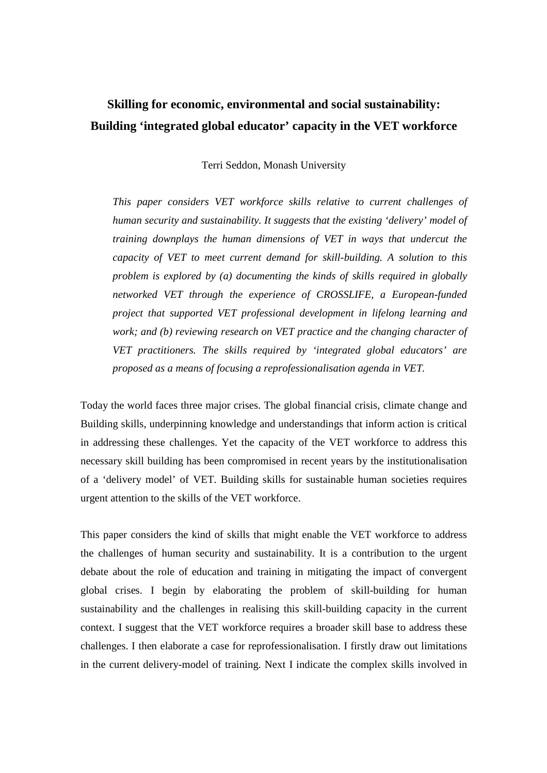# **Skilling for economic, environmental and social sustainability: Building 'integrated global educator' capacity in the VET workforce**

Terri Seddon, Monash University

*This paper considers VET workforce skills relative to current challenges of human security and sustainability. It suggests that the existing 'delivery' model of training downplays the human dimensions of VET in ways that undercut the capacity of VET to meet current demand for skill-building. A solution to this problem is explored by (a) documenting the kinds of skills required in globally networked VET through the experience of CROSSLIFE, a European-funded project that supported VET professional development in lifelong learning and work; and (b) reviewing research on VET practice and the changing character of VET practitioners. The skills required by 'integrated global educators' are proposed as a means of focusing a reprofessionalisation agenda in VET.* 

Today the world faces three major crises. The global financial crisis, climate change and Building skills, underpinning knowledge and understandings that inform action is critical in addressing these challenges. Yet the capacity of the VET workforce to address this necessary skill building has been compromised in recent years by the institutionalisation of a 'delivery model' of VET. Building skills for sustainable human societies requires urgent attention to the skills of the VET workforce.

This paper considers the kind of skills that might enable the VET workforce to address the challenges of human security and sustainability. It is a contribution to the urgent debate about the role of education and training in mitigating the impact of convergent global crises. I begin by elaborating the problem of skill-building for human sustainability and the challenges in realising this skill-building capacity in the current context. I suggest that the VET workforce requires a broader skill base to address these challenges. I then elaborate a case for reprofessionalisation. I firstly draw out limitations in the current delivery-model of training. Next I indicate the complex skills involved in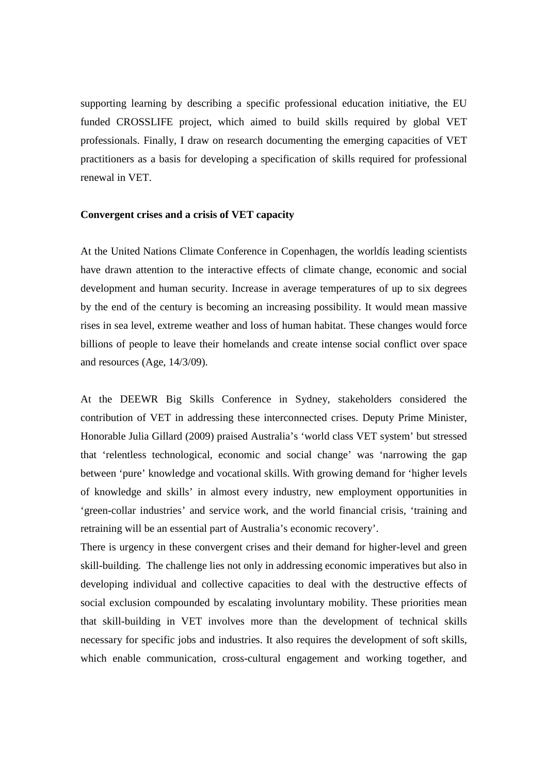supporting learning by describing a specific professional education initiative, the EU funded CROSSLIFE project, which aimed to build skills required by global VET professionals. Finally, I draw on research documenting the emerging capacities of VET practitioners as a basis for developing a specification of skills required for professional renewal in VET.

#### **Convergent crises and a crisis of VET capacity**

At the United Nations Climate Conference in Copenhagen, the worldís leading scientists have drawn attention to the interactive effects of climate change, economic and social development and human security. Increase in average temperatures of up to six degrees by the end of the century is becoming an increasing possibility. It would mean massive rises in sea level, extreme weather and loss of human habitat. These changes would force billions of people to leave their homelands and create intense social conflict over space and resources (Age, 14/3/09).

At the DEEWR Big Skills Conference in Sydney, stakeholders considered the contribution of VET in addressing these interconnected crises. Deputy Prime Minister, Honorable Julia Gillard (2009) praised Australia's 'world class VET system' but stressed that 'relentless technological, economic and social change' was 'narrowing the gap between 'pure' knowledge and vocational skills. With growing demand for 'higher levels of knowledge and skills' in almost every industry, new employment opportunities in 'green-collar industries' and service work, and the world financial crisis, 'training and retraining will be an essential part of Australia's economic recovery'.

There is urgency in these convergent crises and their demand for higher-level and green skill-building. The challenge lies not only in addressing economic imperatives but also in developing individual and collective capacities to deal with the destructive effects of social exclusion compounded by escalating involuntary mobility. These priorities mean that skill-building in VET involves more than the development of technical skills necessary for specific jobs and industries. It also requires the development of soft skills, which enable communication, cross-cultural engagement and working together, and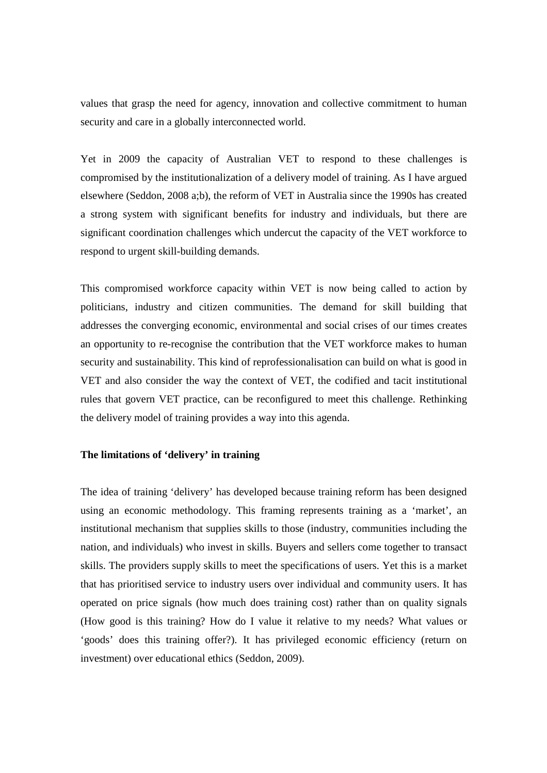values that grasp the need for agency, innovation and collective commitment to human security and care in a globally interconnected world.

Yet in 2009 the capacity of Australian VET to respond to these challenges is compromised by the institutionalization of a delivery model of training. As I have argued elsewhere (Seddon, 2008 a;b), the reform of VET in Australia since the 1990s has created a strong system with significant benefits for industry and individuals, but there are significant coordination challenges which undercut the capacity of the VET workforce to respond to urgent skill-building demands.

This compromised workforce capacity within VET is now being called to action by politicians, industry and citizen communities. The demand for skill building that addresses the converging economic, environmental and social crises of our times creates an opportunity to re-recognise the contribution that the VET workforce makes to human security and sustainability. This kind of reprofessionalisation can build on what is good in VET and also consider the way the context of VET, the codified and tacit institutional rules that govern VET practice, can be reconfigured to meet this challenge. Rethinking the delivery model of training provides a way into this agenda.

## **The limitations of 'delivery' in training**

The idea of training 'delivery' has developed because training reform has been designed using an economic methodology. This framing represents training as a 'market', an institutional mechanism that supplies skills to those (industry, communities including the nation, and individuals) who invest in skills. Buyers and sellers come together to transact skills. The providers supply skills to meet the specifications of users. Yet this is a market that has prioritised service to industry users over individual and community users. It has operated on price signals (how much does training cost) rather than on quality signals (How good is this training? How do I value it relative to my needs? What values or 'goods' does this training offer?). It has privileged economic efficiency (return on investment) over educational ethics (Seddon, 2009).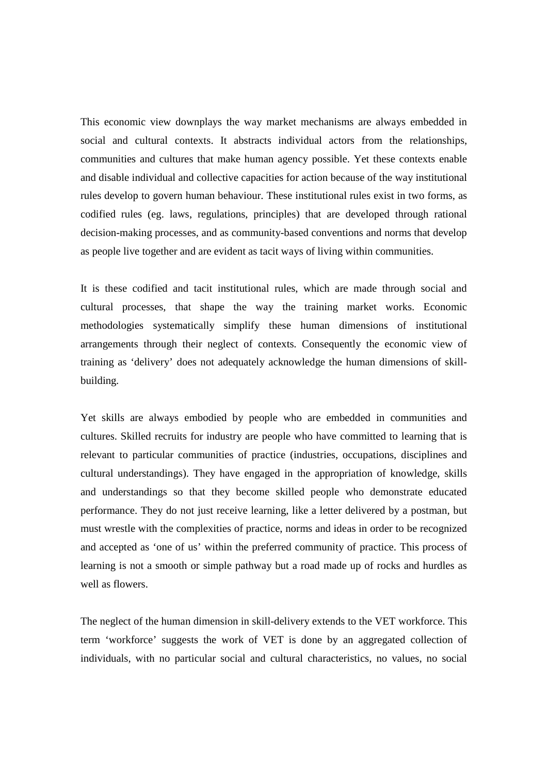This economic view downplays the way market mechanisms are always embedded in social and cultural contexts. It abstracts individual actors from the relationships, communities and cultures that make human agency possible. Yet these contexts enable and disable individual and collective capacities for action because of the way institutional rules develop to govern human behaviour. These institutional rules exist in two forms, as codified rules (eg. laws, regulations, principles) that are developed through rational decision-making processes, and as community-based conventions and norms that develop as people live together and are evident as tacit ways of living within communities.

It is these codified and tacit institutional rules, which are made through social and cultural processes, that shape the way the training market works. Economic methodologies systematically simplify these human dimensions of institutional arrangements through their neglect of contexts. Consequently the economic view of training as 'delivery' does not adequately acknowledge the human dimensions of skillbuilding.

Yet skills are always embodied by people who are embedded in communities and cultures. Skilled recruits for industry are people who have committed to learning that is relevant to particular communities of practice (industries, occupations, disciplines and cultural understandings). They have engaged in the appropriation of knowledge, skills and understandings so that they become skilled people who demonstrate educated performance. They do not just receive learning, like a letter delivered by a postman, but must wrestle with the complexities of practice, norms and ideas in order to be recognized and accepted as 'one of us' within the preferred community of practice. This process of learning is not a smooth or simple pathway but a road made up of rocks and hurdles as well as flowers.

The neglect of the human dimension in skill-delivery extends to the VET workforce. This term 'workforce' suggests the work of VET is done by an aggregated collection of individuals, with no particular social and cultural characteristics, no values, no social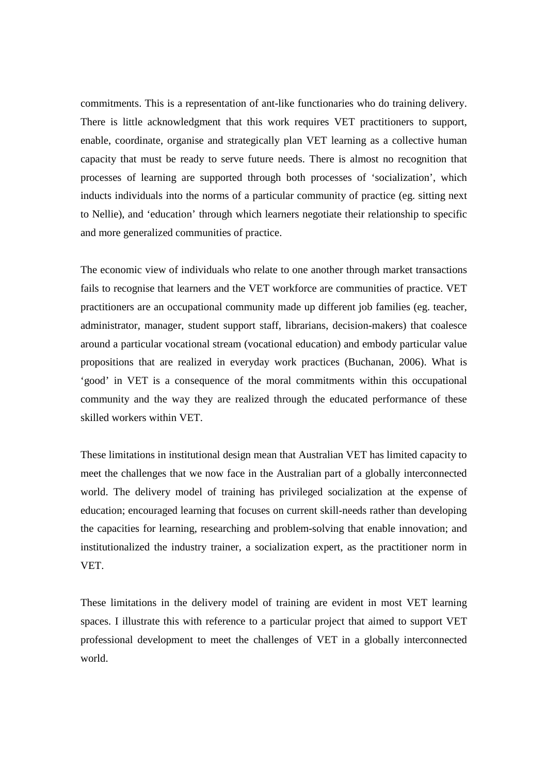commitments. This is a representation of ant-like functionaries who do training delivery. There is little acknowledgment that this work requires VET practitioners to support, enable, coordinate, organise and strategically plan VET learning as a collective human capacity that must be ready to serve future needs. There is almost no recognition that processes of learning are supported through both processes of 'socialization', which inducts individuals into the norms of a particular community of practice (eg. sitting next to Nellie), and 'education' through which learners negotiate their relationship to specific and more generalized communities of practice.

The economic view of individuals who relate to one another through market transactions fails to recognise that learners and the VET workforce are communities of practice. VET practitioners are an occupational community made up different job families (eg. teacher, administrator, manager, student support staff, librarians, decision-makers) that coalesce around a particular vocational stream (vocational education) and embody particular value propositions that are realized in everyday work practices (Buchanan, 2006). What is 'good' in VET is a consequence of the moral commitments within this occupational community and the way they are realized through the educated performance of these skilled workers within VET.

These limitations in institutional design mean that Australian VET has limited capacity to meet the challenges that we now face in the Australian part of a globally interconnected world. The delivery model of training has privileged socialization at the expense of education; encouraged learning that focuses on current skill-needs rather than developing the capacities for learning, researching and problem-solving that enable innovation; and institutionalized the industry trainer, a socialization expert, as the practitioner norm in VET.

These limitations in the delivery model of training are evident in most VET learning spaces. I illustrate this with reference to a particular project that aimed to support VET professional development to meet the challenges of VET in a globally interconnected world.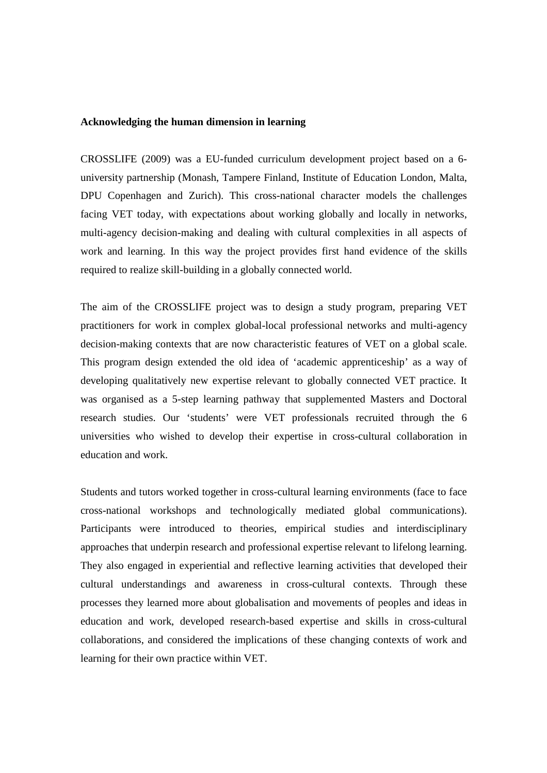#### **Acknowledging the human dimension in learning**

CROSSLIFE (2009) was a EU-funded curriculum development project based on a 6 university partnership (Monash, Tampere Finland, Institute of Education London, Malta, DPU Copenhagen and Zurich). This cross-national character models the challenges facing VET today, with expectations about working globally and locally in networks, multi-agency decision-making and dealing with cultural complexities in all aspects of work and learning. In this way the project provides first hand evidence of the skills required to realize skill-building in a globally connected world.

The aim of the CROSSLIFE project was to design a study program, preparing VET practitioners for work in complex global-local professional networks and multi-agency decision-making contexts that are now characteristic features of VET on a global scale. This program design extended the old idea of 'academic apprenticeship' as a way of developing qualitatively new expertise relevant to globally connected VET practice. It was organised as a 5-step learning pathway that supplemented Masters and Doctoral research studies. Our 'students' were VET professionals recruited through the 6 universities who wished to develop their expertise in cross-cultural collaboration in education and work.

Students and tutors worked together in cross-cultural learning environments (face to face cross-national workshops and technologically mediated global communications). Participants were introduced to theories, empirical studies and interdisciplinary approaches that underpin research and professional expertise relevant to lifelong learning. They also engaged in experiential and reflective learning activities that developed their cultural understandings and awareness in cross-cultural contexts. Through these processes they learned more about globalisation and movements of peoples and ideas in education and work, developed research-based expertise and skills in cross-cultural collaborations, and considered the implications of these changing contexts of work and learning for their own practice within VET.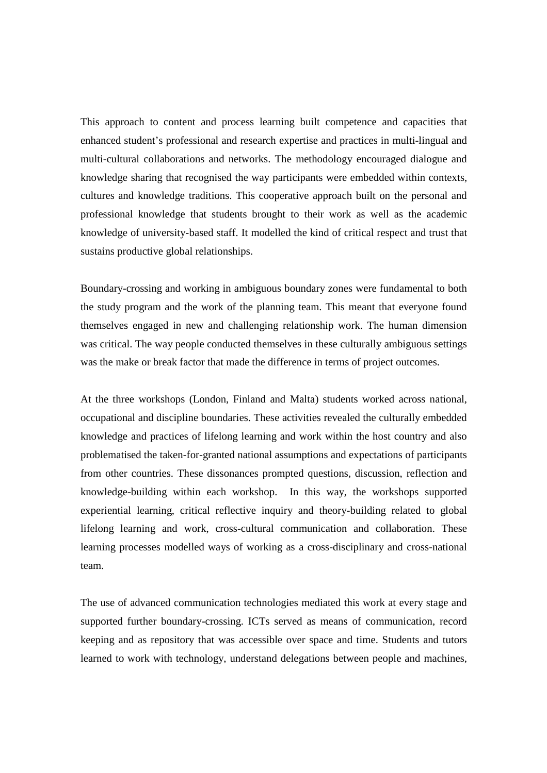This approach to content and process learning built competence and capacities that enhanced student's professional and research expertise and practices in multi-lingual and multi-cultural collaborations and networks. The methodology encouraged dialogue and knowledge sharing that recognised the way participants were embedded within contexts, cultures and knowledge traditions. This cooperative approach built on the personal and professional knowledge that students brought to their work as well as the academic knowledge of university-based staff. It modelled the kind of critical respect and trust that sustains productive global relationships.

Boundary-crossing and working in ambiguous boundary zones were fundamental to both the study program and the work of the planning team. This meant that everyone found themselves engaged in new and challenging relationship work. The human dimension was critical. The way people conducted themselves in these culturally ambiguous settings was the make or break factor that made the difference in terms of project outcomes.

At the three workshops (London, Finland and Malta) students worked across national, occupational and discipline boundaries. These activities revealed the culturally embedded knowledge and practices of lifelong learning and work within the host country and also problematised the taken-for-granted national assumptions and expectations of participants from other countries. These dissonances prompted questions, discussion, reflection and knowledge-building within each workshop. In this way, the workshops supported experiential learning, critical reflective inquiry and theory-building related to global lifelong learning and work, cross-cultural communication and collaboration. These learning processes modelled ways of working as a cross-disciplinary and cross-national team.

The use of advanced communication technologies mediated this work at every stage and supported further boundary-crossing. ICTs served as means of communication, record keeping and as repository that was accessible over space and time. Students and tutors learned to work with technology, understand delegations between people and machines,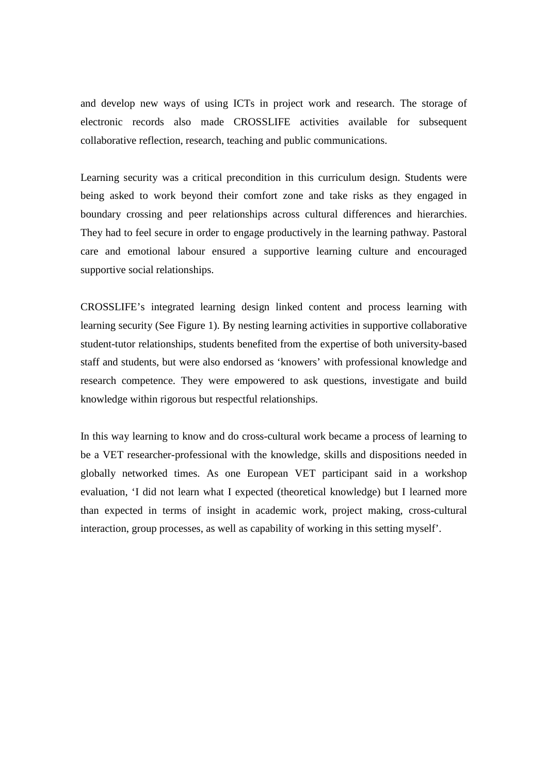and develop new ways of using ICTs in project work and research. The storage of electronic records also made CROSSLIFE activities available for subsequent collaborative reflection, research, teaching and public communications.

Learning security was a critical precondition in this curriculum design. Students were being asked to work beyond their comfort zone and take risks as they engaged in boundary crossing and peer relationships across cultural differences and hierarchies. They had to feel secure in order to engage productively in the learning pathway. Pastoral care and emotional labour ensured a supportive learning culture and encouraged supportive social relationships.

CROSSLIFE's integrated learning design linked content and process learning with learning security (See Figure 1). By nesting learning activities in supportive collaborative student-tutor relationships, students benefited from the expertise of both university-based staff and students, but were also endorsed as 'knowers' with professional knowledge and research competence. They were empowered to ask questions, investigate and build knowledge within rigorous but respectful relationships.

In this way learning to know and do cross-cultural work became a process of learning to be a VET researcher-professional with the knowledge, skills and dispositions needed in globally networked times. As one European VET participant said in a workshop evaluation, 'I did not learn what I expected (theoretical knowledge) but I learned more than expected in terms of insight in academic work, project making, cross-cultural interaction, group processes, as well as capability of working in this setting myself'.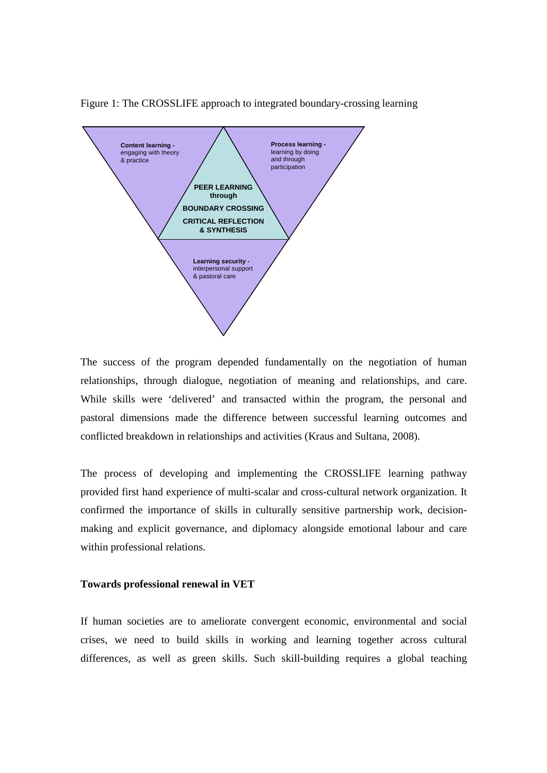

Figure 1: The CROSSLIFE approach to integrated boundary-crossing learning

The success of the program depended fundamentally on the negotiation of human relationships, through dialogue, negotiation of meaning and relationships, and care. While skills were 'delivered' and transacted within the program, the personal and pastoral dimensions made the difference between successful learning outcomes and conflicted breakdown in relationships and activities (Kraus and Sultana, 2008).

The process of developing and implementing the CROSSLIFE learning pathway provided first hand experience of multi-scalar and cross-cultural network organization. It confirmed the importance of skills in culturally sensitive partnership work, decisionmaking and explicit governance, and diplomacy alongside emotional labour and care within professional relations.

#### **Towards professional renewal in VET**

If human societies are to ameliorate convergent economic, environmental and social crises, we need to build skills in working and learning together across cultural differences, as well as green skills. Such skill-building requires a global teaching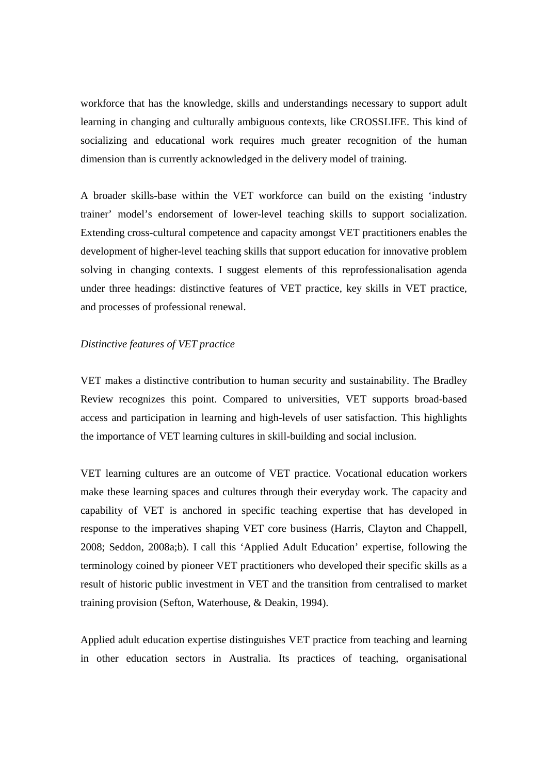workforce that has the knowledge, skills and understandings necessary to support adult learning in changing and culturally ambiguous contexts, like CROSSLIFE. This kind of socializing and educational work requires much greater recognition of the human dimension than is currently acknowledged in the delivery model of training.

A broader skills-base within the VET workforce can build on the existing 'industry trainer' model's endorsement of lower-level teaching skills to support socialization. Extending cross-cultural competence and capacity amongst VET practitioners enables the development of higher-level teaching skills that support education for innovative problem solving in changing contexts. I suggest elements of this reprofessionalisation agenda under three headings: distinctive features of VET practice, key skills in VET practice, and processes of professional renewal.

### *Distinctive features of VET practice*

VET makes a distinctive contribution to human security and sustainability. The Bradley Review recognizes this point. Compared to universities, VET supports broad-based access and participation in learning and high-levels of user satisfaction. This highlights the importance of VET learning cultures in skill-building and social inclusion.

VET learning cultures are an outcome of VET practice. Vocational education workers make these learning spaces and cultures through their everyday work. The capacity and capability of VET is anchored in specific teaching expertise that has developed in response to the imperatives shaping VET core business (Harris, Clayton and Chappell, 2008; Seddon, 2008a;b). I call this 'Applied Adult Education' expertise, following the terminology coined by pioneer VET practitioners who developed their specific skills as a result of historic public investment in VET and the transition from centralised to market training provision (Sefton, Waterhouse, & Deakin, 1994).

Applied adult education expertise distinguishes VET practice from teaching and learning in other education sectors in Australia. Its practices of teaching, organisational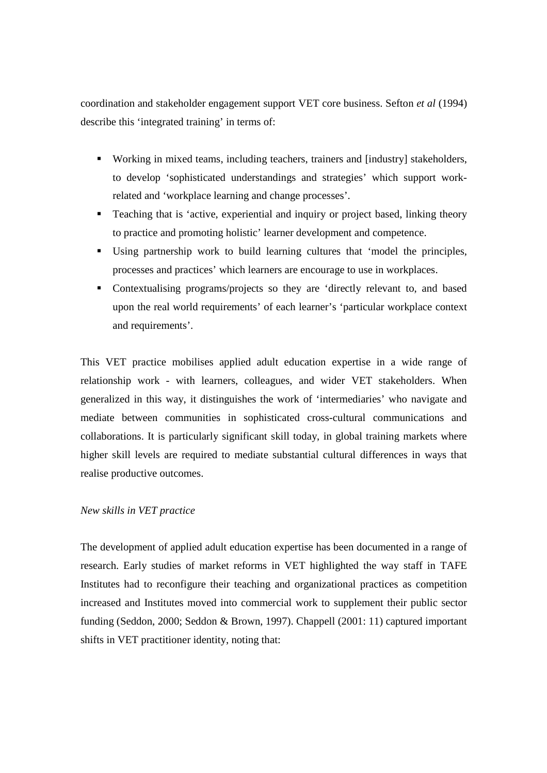coordination and stakeholder engagement support VET core business. Sefton *et al* (1994) describe this 'integrated training' in terms of:

- Working in mixed teams, including teachers, trainers and [industry] stakeholders, to develop 'sophisticated understandings and strategies' which support workrelated and 'workplace learning and change processes'.
- **Teaching that is 'active, experiential and inquiry or project based, linking theory** to practice and promoting holistic' learner development and competence.
- Using partnership work to build learning cultures that 'model the principles, processes and practices' which learners are encourage to use in workplaces.
- Contextualising programs/projects so they are 'directly relevant to, and based upon the real world requirements' of each learner's 'particular workplace context and requirements'.

This VET practice mobilises applied adult education expertise in a wide range of relationship work - with learners, colleagues, and wider VET stakeholders. When generalized in this way, it distinguishes the work of 'intermediaries' who navigate and mediate between communities in sophisticated cross-cultural communications and collaborations. It is particularly significant skill today, in global training markets where higher skill levels are required to mediate substantial cultural differences in ways that realise productive outcomes.

# *New skills in VET practice*

The development of applied adult education expertise has been documented in a range of research. Early studies of market reforms in VET highlighted the way staff in TAFE Institutes had to reconfigure their teaching and organizational practices as competition increased and Institutes moved into commercial work to supplement their public sector funding (Seddon, 2000; Seddon & Brown, 1997). Chappell (2001: 11) captured important shifts in VET practitioner identity, noting that: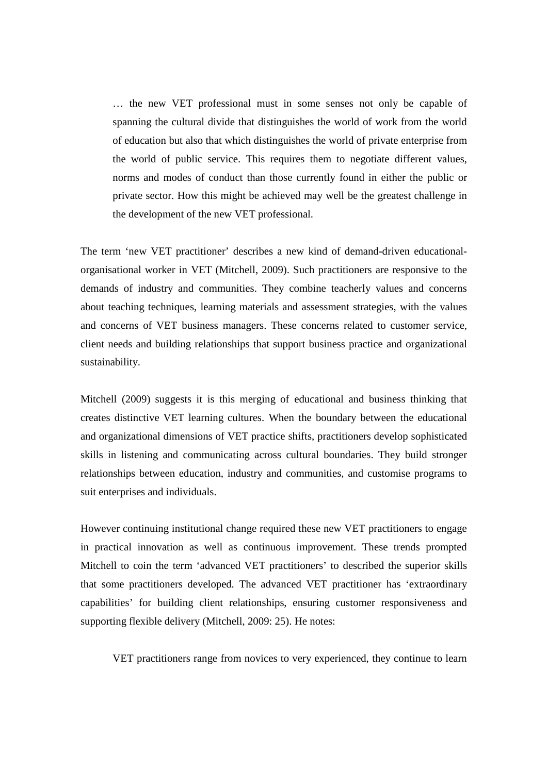… the new VET professional must in some senses not only be capable of spanning the cultural divide that distinguishes the world of work from the world of education but also that which distinguishes the world of private enterprise from the world of public service. This requires them to negotiate different values, norms and modes of conduct than those currently found in either the public or private sector. How this might be achieved may well be the greatest challenge in the development of the new VET professional.

The term 'new VET practitioner' describes a new kind of demand-driven educationalorganisational worker in VET (Mitchell, 2009). Such practitioners are responsive to the demands of industry and communities. They combine teacherly values and concerns about teaching techniques, learning materials and assessment strategies, with the values and concerns of VET business managers. These concerns related to customer service, client needs and building relationships that support business practice and organizational sustainability.

Mitchell (2009) suggests it is this merging of educational and business thinking that creates distinctive VET learning cultures. When the boundary between the educational and organizational dimensions of VET practice shifts, practitioners develop sophisticated skills in listening and communicating across cultural boundaries. They build stronger relationships between education, industry and communities, and customise programs to suit enterprises and individuals.

However continuing institutional change required these new VET practitioners to engage in practical innovation as well as continuous improvement. These trends prompted Mitchell to coin the term 'advanced VET practitioners' to described the superior skills that some practitioners developed. The advanced VET practitioner has 'extraordinary capabilities' for building client relationships, ensuring customer responsiveness and supporting flexible delivery (Mitchell, 2009: 25). He notes:

VET practitioners range from novices to very experienced, they continue to learn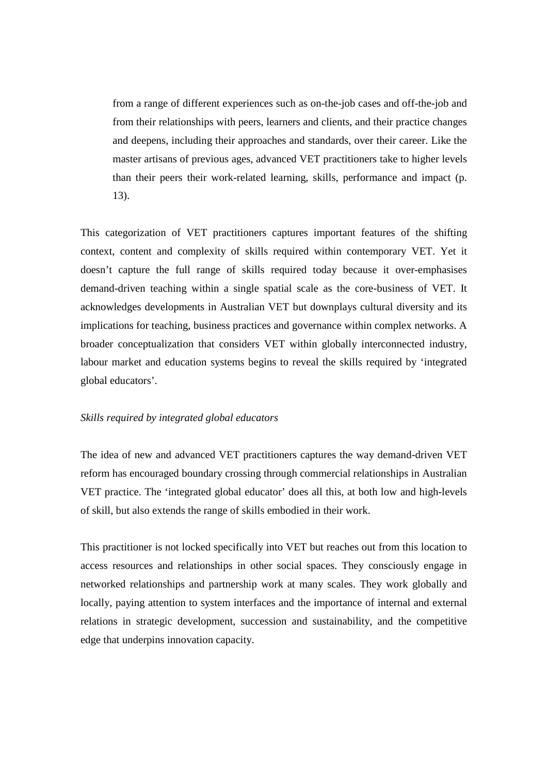from a range of different experiences such as on-the-job cases and off-the-job and from their relationships with peers, learners and clients, and their practice changes and deepens, including their approaches and standards, over their career. Like the master artisans of previous ages, advanced VET practitioners take to higher levels than their peers their work-related learning, skills, performance and impact (p. 13).

This categorization of VET practitioners captures important features of the shifting context, content and complexity of skills required within contemporary VET. Yet it doesn't capture the full range of skills required today because it over-emphasises demand-driven teaching within a single spatial scale as the core-business of VET. It acknowledges developments in Australian VET but downplays cultural diversity and its implications for teaching, business practices and governance within complex networks. A broader conceptualization that considers VET within globally interconnected industry, labour market and education systems begins to reveal the skills required by 'integrated global educators'.

### *Skills required by integrated global educators*

The idea of new and advanced VET practitioners captures the way demand-driven VET reform has encouraged boundary crossing through commercial relationships in Australian VET practice. The 'integrated global educator' does all this, at both low and high-levels of skill, but also extends the range of skills embodied in their work.

This practitioner is not locked specifically into VET but reaches out from this location to access resources and relationships in other social spaces. They consciously engage in networked relationships and partnership work at many scales. They work globally and locally, paying attention to system interfaces and the importance of internal and external relations in strategic development, succession and sustainability, and the competitive edge that underpins innovation capacity.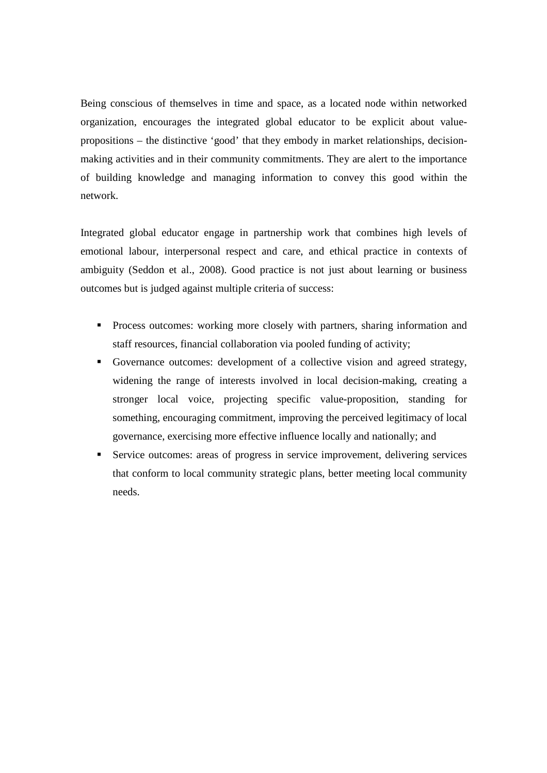Being conscious of themselves in time and space, as a located node within networked organization, encourages the integrated global educator to be explicit about valuepropositions – the distinctive 'good' that they embody in market relationships, decisionmaking activities and in their community commitments. They are alert to the importance of building knowledge and managing information to convey this good within the network.

Integrated global educator engage in partnership work that combines high levels of emotional labour, interpersonal respect and care, and ethical practice in contexts of ambiguity (Seddon et al., 2008). Good practice is not just about learning or business outcomes but is judged against multiple criteria of success:

- **Process outcomes: working more closely with partners, sharing information and** staff resources, financial collaboration via pooled funding of activity;
- Governance outcomes: development of a collective vision and agreed strategy, widening the range of interests involved in local decision-making, creating a stronger local voice, projecting specific value-proposition, standing for something, encouraging commitment, improving the perceived legitimacy of local governance, exercising more effective influence locally and nationally; and
- Service outcomes: areas of progress in service improvement, delivering services that conform to local community strategic plans, better meeting local community needs.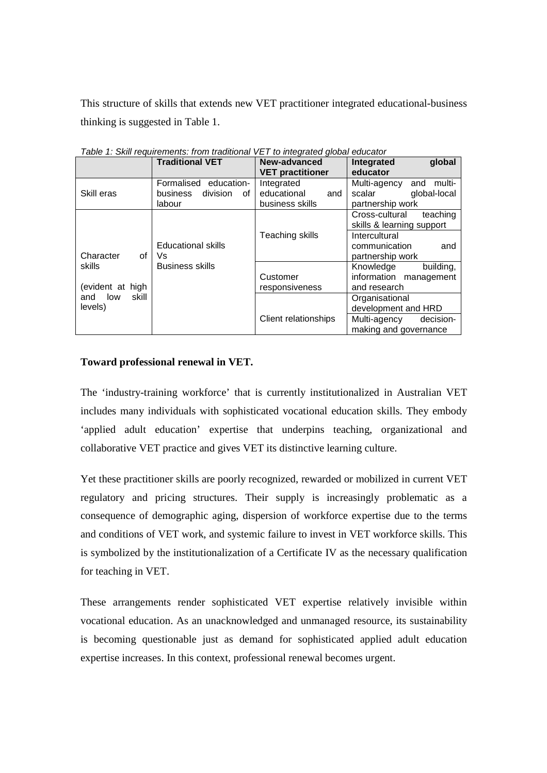This structure of skills that extends new VET practitioner integrated educational-business thinking is suggested in Table 1.

|                                | <b>Traditional VET</b>                                        | New-advanced<br><b>VET practitioner</b>             | Integrated<br>global<br>educator                                                            |
|--------------------------------|---------------------------------------------------------------|-----------------------------------------------------|---------------------------------------------------------------------------------------------|
| Skill eras                     | Formalised education-<br>division<br>business<br>of<br>labour | Integrated<br>educational<br>and<br>business skills | and multi-<br>Multi-agency<br>global-local<br>scalar<br>partnership work                    |
|                                |                                                               |                                                     | Cross-cultural<br>teaching<br>skills & learning support                                     |
| Character<br>οf                | <b>Educational skills</b><br>Vs                               | Teaching skills                                     | Intercultural<br>communication<br>and<br>partnership work                                   |
| skills<br>(evident at high     | <b>Business skills</b>                                        | Customer<br>responsiveness                          | Knowledge<br>building,<br>information management<br>and research                            |
| low<br>skill<br>and<br>levels) |                                                               | Client relationships                                | Organisational<br>development and HRD<br>Multi-agency<br>decision-<br>making and governance |

Table 1: Skill requirements: from traditional VET to integrated global educator

# **Toward professional renewal in VET.**

The 'industry-training workforce' that is currently institutionalized in Australian VET includes many individuals with sophisticated vocational education skills. They embody 'applied adult education' expertise that underpins teaching, organizational and collaborative VET practice and gives VET its distinctive learning culture.

Yet these practitioner skills are poorly recognized, rewarded or mobilized in current VET regulatory and pricing structures. Their supply is increasingly problematic as a consequence of demographic aging, dispersion of workforce expertise due to the terms and conditions of VET work, and systemic failure to invest in VET workforce skills. This is symbolized by the institutionalization of a Certificate IV as the necessary qualification for teaching in VET.

These arrangements render sophisticated VET expertise relatively invisible within vocational education. As an unacknowledged and unmanaged resource, its sustainability is becoming questionable just as demand for sophisticated applied adult education expertise increases. In this context, professional renewal becomes urgent.